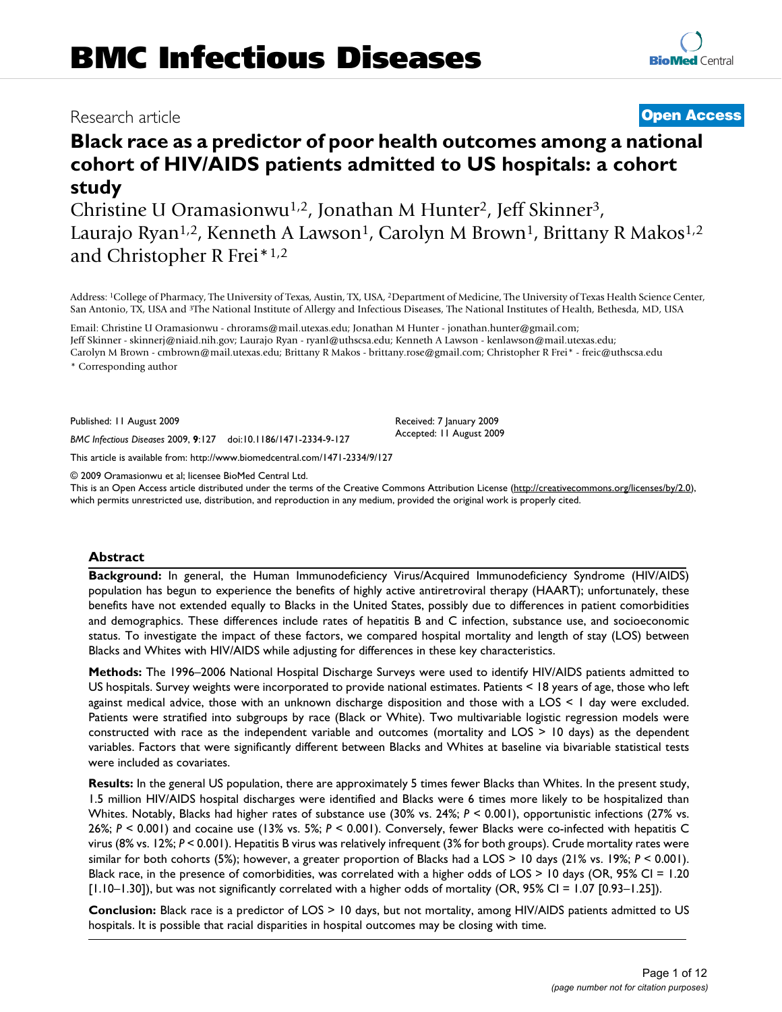## Research article **[Open Access](http://www.biomedcentral.com/info/about/charter/)**

# **[BioMed](http://www.biomedcentral.com/)** Central

# **Black race as a predictor of poor health outcomes among a national cohort of HIV/AIDS patients admitted to US hospitals: a cohort study**

Christine U Oramasionwu1,2, Jonathan M Hunter2, Jeff Skinner3, Laurajo Ryan<sup>1,2</sup>, Kenneth A Lawson<sup>1</sup>, Carolyn M Brown<sup>1</sup>, Brittany R Makos<sup>1,2</sup> and Christopher R Frei\*1,2

Address: 1College of Pharmacy, The University of Texas, Austin, TX, USA, 2Department of Medicine, The University of Texas Health Science Center, San Antonio, TX, USA and 3The National Institute of Allergy and Infectious Diseases, The National Institutes of Health, Bethesda, MD, USA

Email: Christine U Oramasionwu - chrorams@mail.utexas.edu; Jonathan M Hunter - jonathan.hunter@gmail.com; Jeff Skinner - skinnerj@niaid.nih.gov; Laurajo Ryan - ryanl@uthscsa.edu; Kenneth A Lawson - kenlawson@mail.utexas.edu; Carolyn M Brown - cmbrown@mail.utexas.edu; Brittany R Makos - brittany.rose@gmail.com; Christopher R Frei\* - freic@uthscsa.edu

\* Corresponding author

Published: 11 August 2009

*BMC Infectious Diseases* 2009, **9**:127 doi:10.1186/1471-2334-9-127

[This article is available from: http://www.biomedcentral.com/1471-2334/9/127](http://www.biomedcentral.com/1471-2334/9/127)

© 2009 Oramasionwu et al; licensee BioMed Central Ltd.

This is an Open Access article distributed under the terms of the Creative Commons Attribution License [\(http://creativecommons.org/licenses/by/2.0\)](http://creativecommons.org/licenses/by/2.0), which permits unrestricted use, distribution, and reproduction in any medium, provided the original work is properly cited.

Received: 7 January 2009 Accepted: 11 August 2009

#### **Abstract**

**Background:** In general, the Human Immunodeficiency Virus/Acquired Immunodeficiency Syndrome (HIV/AIDS) population has begun to experience the benefits of highly active antiretroviral therapy (HAART); unfortunately, these benefits have not extended equally to Blacks in the United States, possibly due to differences in patient comorbidities and demographics. These differences include rates of hepatitis B and C infection, substance use, and socioeconomic status. To investigate the impact of these factors, we compared hospital mortality and length of stay (LOS) between Blacks and Whites with HIV/AIDS while adjusting for differences in these key characteristics.

**Methods:** The 1996–2006 National Hospital Discharge Surveys were used to identify HIV/AIDS patients admitted to US hospitals. Survey weights were incorporated to provide national estimates. Patients < 18 years of age, those who left against medical advice, those with an unknown discharge disposition and those with a LOS < 1 day were excluded. Patients were stratified into subgroups by race (Black or White). Two multivariable logistic regression models were constructed with race as the independent variable and outcomes (mortality and LOS > 10 days) as the dependent variables. Factors that were significantly different between Blacks and Whites at baseline via bivariable statistical tests were included as covariates.

**Results:** In the general US population, there are approximately 5 times fewer Blacks than Whites. In the present study, 1.5 million HIV/AIDS hospital discharges were identified and Blacks were 6 times more likely to be hospitalized than Whites. Notably, Blacks had higher rates of substance use (30% vs. 24%; *P* < 0.001), opportunistic infections (27% vs. 26%; *P* < 0.001) and cocaine use (13% vs. 5%; *P* < 0.001). Conversely, fewer Blacks were co-infected with hepatitis C virus (8% vs. 12%; *P* < 0.001). Hepatitis B virus was relatively infrequent (3% for both groups). Crude mortality rates were similar for both cohorts (5%); however, a greater proportion of Blacks had a LOS > 10 days (21% vs. 19%; *P* < 0.001). Black race, in the presence of comorbidities, was correlated with a higher odds of LOS > 10 days (OR, 95% CI = 1.20 [1.10–1.30]), but was not significantly correlated with a higher odds of mortality (OR, 95% CI = 1.07 [0.93–1.25]).

**Conclusion:** Black race is a predictor of LOS > 10 days, but not mortality, among HIV/AIDS patients admitted to US hospitals. It is possible that racial disparities in hospital outcomes may be closing with time.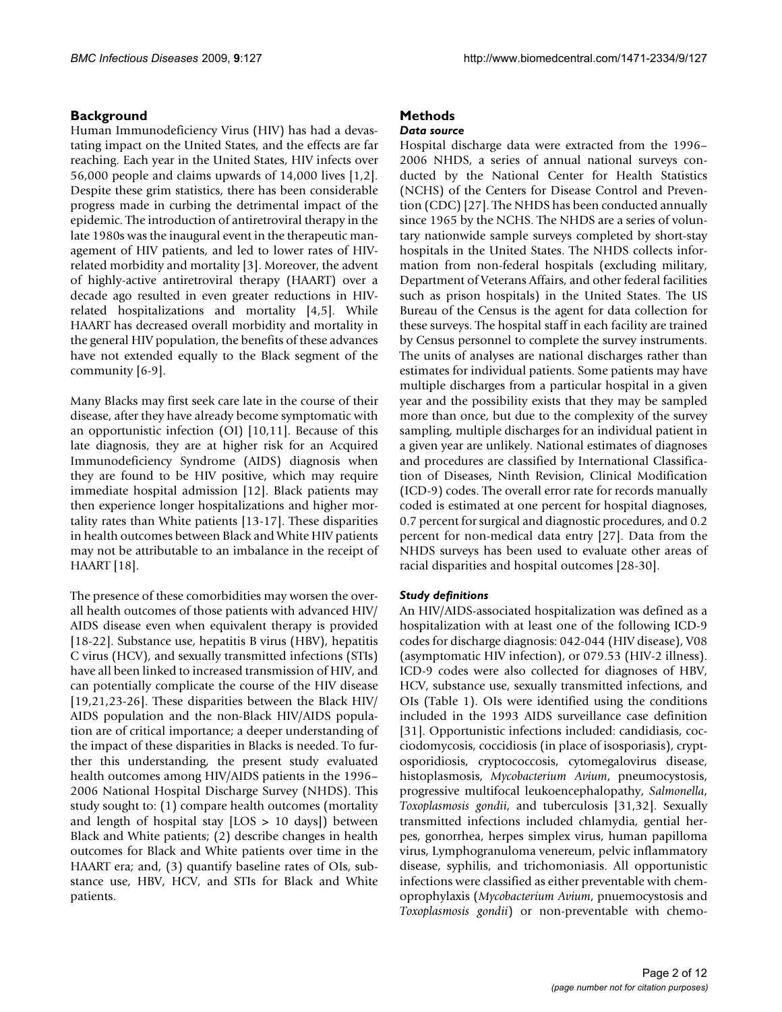#### **Background**

Human Immunodeficiency Virus (HIV) has had a devastating impact on the United States, and the effects are far reaching. Each year in the United States, HIV infects over 56,000 people and claims upwards of 14,000 lives [1,2]. Despite these grim statistics, there has been considerable progress made in curbing the detrimental impact of the epidemic. The introduction of antiretroviral therapy in the late 1980s was the inaugural event in the therapeutic management of HIV patients, and led to lower rates of HIVrelated morbidity and mortality [3]. Moreover, the advent of highly-active antiretroviral therapy (HAART) over a decade ago resulted in even greater reductions in HIVrelated hospitalizations and mortality [4,5]. While HAART has decreased overall morbidity and mortality in the general HIV population, the benefits of these advances have not extended equally to the Black segment of the community [6-9].

Many Blacks may first seek care late in the course of their disease, after they have already become symptomatic with an opportunistic infection (OI) [10,[11\]](#page-10-0). Because of this late diagnosis, they are at higher risk for an Acquired Immunodeficiency Syndrome (AIDS) diagnosis when they are found to be HIV positive, which may require immediate hospital admission [12]. Black patients may then experience longer hospitalizations and higher mortality rates than White patients [13-17]. These disparities in health outcomes between Black and White HIV patients may not be attributable to an imbalance in the receipt of HAART [18].

The presence of these comorbidities may worsen the overall health outcomes of those patients with advanced HIV/ AIDS disease even when equivalent therapy is provided [18-22]. Substance use, hepatitis B virus (HBV), hepatitis C virus (HCV), and sexually transmitted infections (STIs) have all been linked to increased transmission of HIV, and can potentially complicate the course of the HIV disease [19,21,23-26]. These disparities between the Black HIV/ AIDS population and the non-Black HIV/AIDS population are of critical importance; a deeper understanding of the impact of these disparities in Blacks is needed. To further this understanding, the present study evaluated health outcomes among HIV/AIDS patients in the 1996– 2006 National Hospital Discharge Survey (NHDS). This study sought to: (1) compare health outcomes (mortality and length of hospital stay  $[LOS > 10 days]$ ) between Black and White patients; (2) describe changes in health outcomes for Black and White patients over time in the HAART era; and, (3) quantify baseline rates of OIs, substance use, HBV, HCV, and STIs for Black and White patients.

### **Methods**

#### *Data source*

Hospital discharge data were extracted from the 1996– 2006 NHDS, a series of annual national surveys conducted by the National Center for Health Statistics (NCHS) of the Centers for Disease Control and Prevention (CDC) [27]. The NHDS has been conducted annually since 1965 by the NCHS. The NHDS are a series of voluntary nationwide sample surveys completed by short-stay hospitals in the United States. The NHDS collects information from non-federal hospitals (excluding military, Department of Veterans Affairs, and other federal facilities such as prison hospitals) in the United States. The US Bureau of the Census is the agent for data collection for these surveys. The hospital staff in each facility are trained by Census personnel to complete the survey instruments. The units of analyses are national discharges rather than estimates for individual patients. Some patients may have multiple discharges from a particular hospital in a given year and the possibility exists that they may be sampled more than once, but due to the complexity of the survey sampling, multiple discharges for an individual patient in a given year are unlikely. National estimates of diagnoses and procedures are classified by International Classification of Diseases, Ninth Revision, Clinical Modification (ICD-9) codes. The overall error rate for records manually coded is estimated at one percent for hospital diagnoses, 0.7 percent for surgical and diagnostic procedures, and 0.2 percent for non-medical data entry [27]. Data from the NHDS surveys has been used to evaluate other areas of racial disparities and hospital outcomes [28-30].

#### *Study definitions*

An HIV/AIDS-associated hospitalization was defined as a hospitalization with at least one of the following ICD-9 codes for discharge diagnosis: 042-044 (HIV disease), V08 (asymptomatic HIV infection), or 079.53 (HIV-2 illness). ICD-9 codes were also collected for diagnoses of HBV, HCV, substance use, sexually transmitted infections, and OIs (Table 1). OIs were identified using the conditions included in the 1993 AIDS surveillance case definition [31]. Opportunistic infections included: candidiasis, cocciodomycosis, coccidiosis (in place of isosporiasis), cryptosporidiosis, cryptococcosis, cytomegalovirus disease, histoplasmosis, *Mycobacterium Avium*, pneumocystosis, progressive multifocal leukoencephalopathy, *Salmonella*, *Toxoplasmosis gondii*, and tuberculosis [31,32]. Sexually transmitted infections included chlamydia, gential herpes, gonorrhea, herpes simplex virus, human papilloma virus, Lymphogranuloma venereum, pelvic inflammatory disease, syphilis, and trichomoniasis. All opportunistic infections were classified as either preventable with chemoprophylaxis (*Mycobacterium Avium*, pnuemocystosis and *Toxoplasmosis gondii*) or non-preventable with chemo-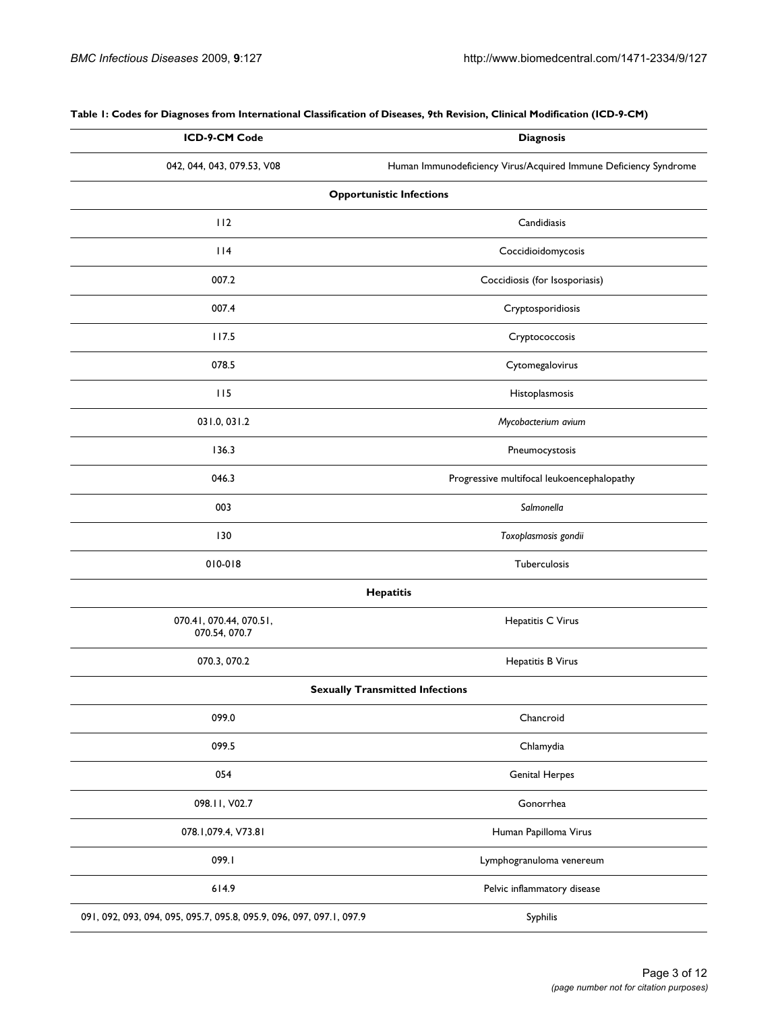| ICD-9-CM Code                                                        | <b>Diagnosis</b>                                                 |  |  |
|----------------------------------------------------------------------|------------------------------------------------------------------|--|--|
| 042, 044, 043, 079.53, V08                                           | Human Immunodeficiency Virus/Acquired Immune Deficiency Syndrome |  |  |
| <b>Opportunistic Infections</b>                                      |                                                                  |  |  |
| 112                                                                  | Candidiasis                                                      |  |  |
| $ $  4                                                               | Coccidioidomycosis                                               |  |  |
| 007.2                                                                | Coccidiosis (for Isosporiasis)                                   |  |  |
| 007.4                                                                | Cryptosporidiosis                                                |  |  |
| 117.5                                                                | Cryptococcosis                                                   |  |  |
| 078.5                                                                | Cytomegalovirus                                                  |  |  |
| 115                                                                  | Histoplasmosis                                                   |  |  |
| 031.0, 031.2                                                         | Mycobacterium avium                                              |  |  |
| 136.3                                                                | Pneumocystosis                                                   |  |  |
| 046.3                                                                | Progressive multifocal leukoencephalopathy                       |  |  |
| 003                                                                  | Salmonella                                                       |  |  |
| 130                                                                  | Toxoplasmosis gondii                                             |  |  |
| 010-018                                                              | Tuberculosis                                                     |  |  |
|                                                                      | <b>Hepatitis</b>                                                 |  |  |
| 070.41, 070.44, 070.51,<br>070.54, 070.7                             | Hepatitis C Virus                                                |  |  |
| 070.3, 070.2                                                         | Hepatitis B Virus                                                |  |  |
|                                                                      | <b>Sexually Transmitted Infections</b>                           |  |  |
| 099.0                                                                | Chancroid                                                        |  |  |
| 099.5                                                                | Chlamydia                                                        |  |  |
| 054                                                                  | <b>Genital Herpes</b>                                            |  |  |
| 098.11, V02.7                                                        | Gonorrhea                                                        |  |  |
| 078.1,079.4, V73.81                                                  | Human Papilloma Virus                                            |  |  |
| 099.1                                                                | Lymphogranuloma venereum                                         |  |  |
| 614.9                                                                | Pelvic inflammatory disease                                      |  |  |
| 091, 092, 093, 094, 095, 095.7, 095.8, 095.9, 096, 097, 097.1, 097.9 | Syphilis                                                         |  |  |

**Table 1: Codes for Diagnoses from International Classification of Diseases, 9th Revision, Clinical Modification (ICD-9-CM)**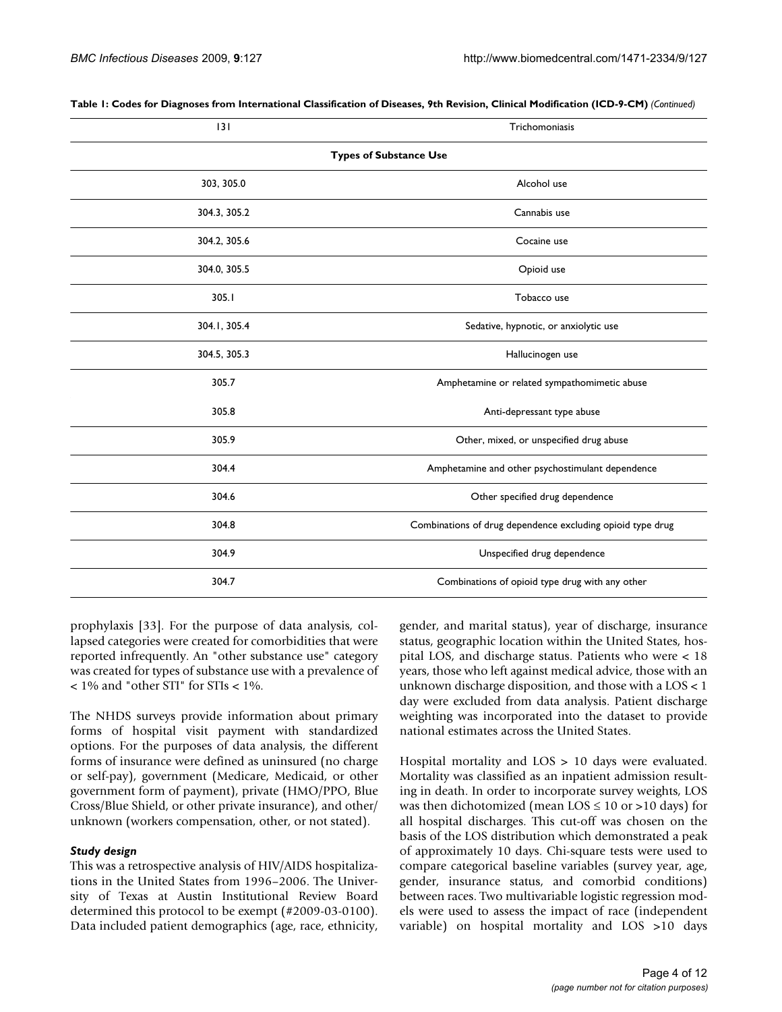| 3                             | Trichomoniasis                                             |  |  |
|-------------------------------|------------------------------------------------------------|--|--|
| <b>Types of Substance Use</b> |                                                            |  |  |
| 303, 305.0                    | Alcohol use                                                |  |  |
| 304.3, 305.2                  | Cannabis use                                               |  |  |
| 304.2, 305.6                  | Cocaine use                                                |  |  |
| 304.0, 305.5                  | Opioid use                                                 |  |  |
| 305.1                         | Tobacco use                                                |  |  |
| 304.1, 305.4                  | Sedative, hypnotic, or anxiolytic use                      |  |  |
| 304.5, 305.3                  | Hallucinogen use                                           |  |  |
| 305.7                         | Amphetamine or related sympathomimetic abuse               |  |  |
| 305.8                         | Anti-depressant type abuse                                 |  |  |
| 305.9                         | Other, mixed, or unspecified drug abuse                    |  |  |
| 304.4                         | Amphetamine and other psychostimulant dependence           |  |  |
| 304.6                         | Other specified drug dependence                            |  |  |
| 304.8                         | Combinations of drug dependence excluding opioid type drug |  |  |
| 304.9                         | Unspecified drug dependence                                |  |  |
| 304.7                         | Combinations of opioid type drug with any other            |  |  |

**Table 1: Codes for Diagnoses from International Classification of Diseases, 9th Revision, Clinical Modification (ICD-9-CM)** *(Continued)*

prophylaxis [[33\]](#page-11-0). For the purpose of data analysis, collapsed categories were created for comorbidities that were reported infrequently. An "other substance use" category was created for types of substance use with a prevalence of < 1% and "other STI" for STIs < 1%.

The NHDS surveys provide information about primary forms of hospital visit payment with standardized options. For the purposes of data analysis, the different forms of insurance were defined as uninsured (no charge or self-pay), government (Medicare, Medicaid, or other government form of payment), private (HMO/PPO, Blue Cross/Blue Shield, or other private insurance), and other/ unknown (workers compensation, other, or not stated).

#### *Study design*

This was a retrospective analysis of HIV/AIDS hospitalizations in the United States from 1996–2006. The University of Texas at Austin Institutional Review Board determined this protocol to be exempt (#2009-03-0100). Data included patient demographics (age, race, ethnicity,

gender, and marital status), year of discharge, insurance status, geographic location within the United States, hospital LOS, and discharge status. Patients who were < 18 years, those who left against medical advice, those with an unknown discharge disposition, and those with a LOS < 1 day were excluded from data analysis. Patient discharge weighting was incorporated into the dataset to provide national estimates across the United States.

Hospital mortality and LOS > 10 days were evaluated. Mortality was classified as an inpatient admission resulting in death. In order to incorporate survey weights, LOS was then dichotomized (mean  $LOS \le 10$  or >10 days) for all hospital discharges. This cut-off was chosen on the basis of the LOS distribution which demonstrated a peak of approximately 10 days. Chi-square tests were used to compare categorical baseline variables (survey year, age, gender, insurance status, and comorbid conditions) between races. Two multivariable logistic regression models were used to assess the impact of race (independent variable) on hospital mortality and LOS >10 days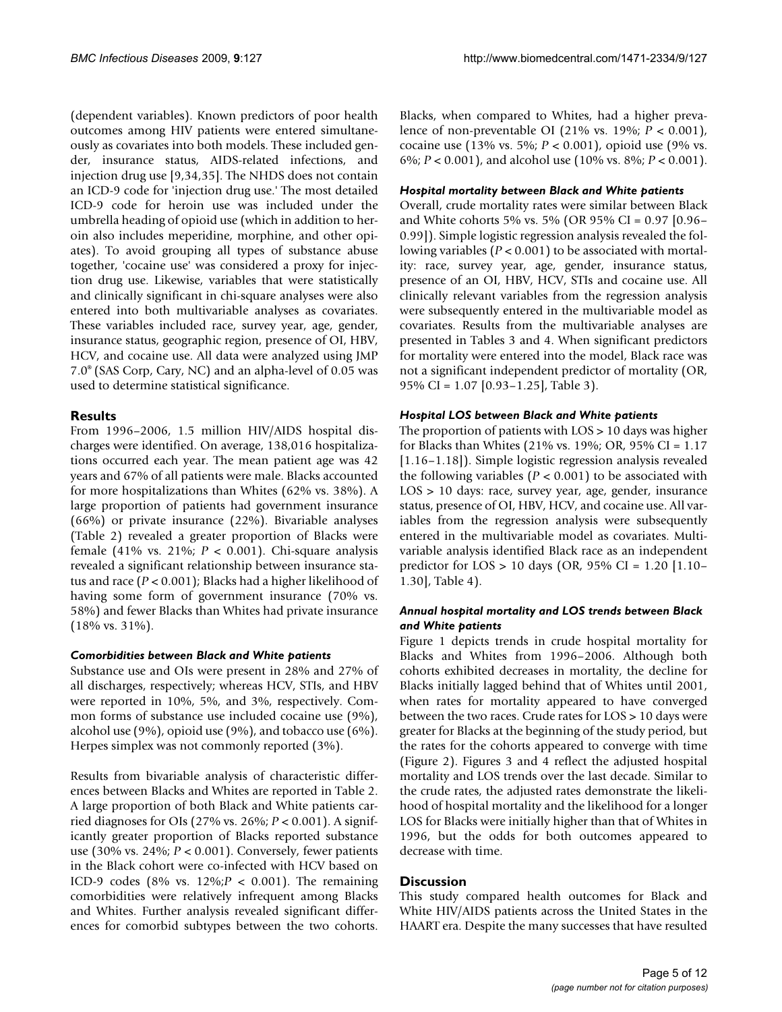(dependent variables). Known predictors of poor health outcomes among HIV patients were entered simultaneously as covariates into both models. These included gender, insurance status, AIDS-related infections, and injection drug use [9,34,35]. The NHDS does not contain an ICD-9 code for 'injection drug use.' The most detailed ICD-9 code for heroin use was included under the umbrella heading of opioid use (which in addition to heroin also includes meperidine, morphine, and other opiates). To avoid grouping all types of substance abuse together, 'cocaine use' was considered a proxy for injection drug use. Likewise, variables that were statistically and clinically significant in chi-square analyses were also entered into both multivariable analyses as covariates. These variables included race, survey year, age, gender, insurance status, geographic region, presence of OI, HBV, HCV, and cocaine use. All data were analyzed using JMP 7.0® (SAS Corp, Cary, NC) and an alpha-level of 0.05 was used to determine statistical significance.

### **Results**

From 1996–2006, 1.5 million HIV/AIDS hospital discharges were identified. On average, 138,016 hospitalizations occurred each year. The mean patient age was 42 years and 67% of all patients were male. Blacks accounted for more hospitalizations than Whites (62% vs. 38%). A large proportion of patients had government insurance (66%) or private insurance (22%). Bivariable analyses (Table 2) revealed a greater proportion of Blacks were female (41% vs. 21%;  $P < 0.001$ ). Chi-square analysis revealed a significant relationship between insurance status and race (*P* < 0.001); Blacks had a higher likelihood of having some form of government insurance (70% vs. 58%) and fewer Blacks than Whites had private insurance (18% vs. 31%).

#### *Comorbidities between Black and White patients*

Substance use and OIs were present in 28% and 27% of all discharges, respectively; whereas HCV, STIs, and HBV were reported in 10%, 5%, and 3%, respectively. Common forms of substance use included cocaine use (9%), alcohol use (9%), opioid use (9%), and tobacco use (6%). Herpes simplex was not commonly reported (3%).

Results from bivariable analysis of characteristic differences between Blacks and Whites are reported in Table 2. A large proportion of both Black and White patients carried diagnoses for OIs (27% vs. 26%; *P* < 0.001). A significantly greater proportion of Blacks reported substance use (30% vs. 24%; *P* < 0.001). Conversely, fewer patients in the Black cohort were co-infected with HCV based on ICD-9 codes (8% vs. 12%;*P* < 0.001). The remaining comorbidities were relatively infrequent among Blacks and Whites. Further analysis revealed significant differences for comorbid subtypes between the two cohorts.

Blacks, when compared to Whites, had a higher prevalence of non-preventable OI (21% vs. 19%; *P* < 0.001), cocaine use (13% vs. 5%; *P* < 0.001), opioid use (9% vs. 6%; *P* < 0.001), and alcohol use (10% vs. 8%; *P* < 0.001).

#### *Hospital mortality between Black and White patients*

Overall, crude mortality rates were similar between Black and White cohorts 5% vs. 5% (OR 95% CI = 0.97 [0.96– 0.99]). Simple logistic regression analysis revealed the following variables (*P* < 0.001) to be associated with mortality: race, survey year, age, gender, insurance status, presence of an OI, HBV, HCV, STIs and cocaine use. All clinically relevant variables from the regression analysis were subsequently entered in the multivariable model as covariates. Results from the multivariable analyses are presented in Tables 3 and 4. When significant predictors for mortality were entered into the model, Black race was not a significant independent predictor of mortality (OR, 95% CI = 1.07 [0.93–1.25], Table 3).

#### *Hospital LOS between Black and White patients*

The proportion of patients with LOS > 10 days was higher for Blacks than Whites (21% vs. 19%; OR, 95% CI = 1.17 [1.16–1.18]). Simple logistic regression analysis revealed the following variables (*P* < 0.001) to be associated with LOS > 10 days: race, survey year, age, gender, insurance status, presence of OI, HBV, HCV, and cocaine use. All variables from the regression analysis were subsequently entered in the multivariable model as covariates. Multivariable analysis identified Black race as an independent predictor for LOS > 10 days (OR, 95% CI = 1.20 [1.10– 1.30], Table 4).

#### *Annual hospital mortality and LOS trends between Black and White patients*

Figure 1 depicts trends in crude hospital mortality for Blacks and Whites from 1996–2006. Although both cohorts exhibited decreases in mortality, the decline for Blacks initially lagged behind that of Whites until 2001, when rates for mortality appeared to have converged between the two races. Crude rates for LOS > 10 days were greater for Blacks at the beginning of the study period, but the rates for the cohorts appeared to converge with time (Figure 2). Figures 3 and 4 reflect the adjusted hospital mortality and LOS trends over the last decade. Similar to the crude rates, the adjusted rates demonstrate the likelihood of hospital mortality and the likelihood for a longer LOS for Blacks were initially higher than that of Whites in 1996, but the odds for both outcomes appeared to decrease with time.

#### **Discussion**

This study compared health outcomes for Black and White HIV/AIDS patients across the United States in the HAART era. Despite the many successes that have resulted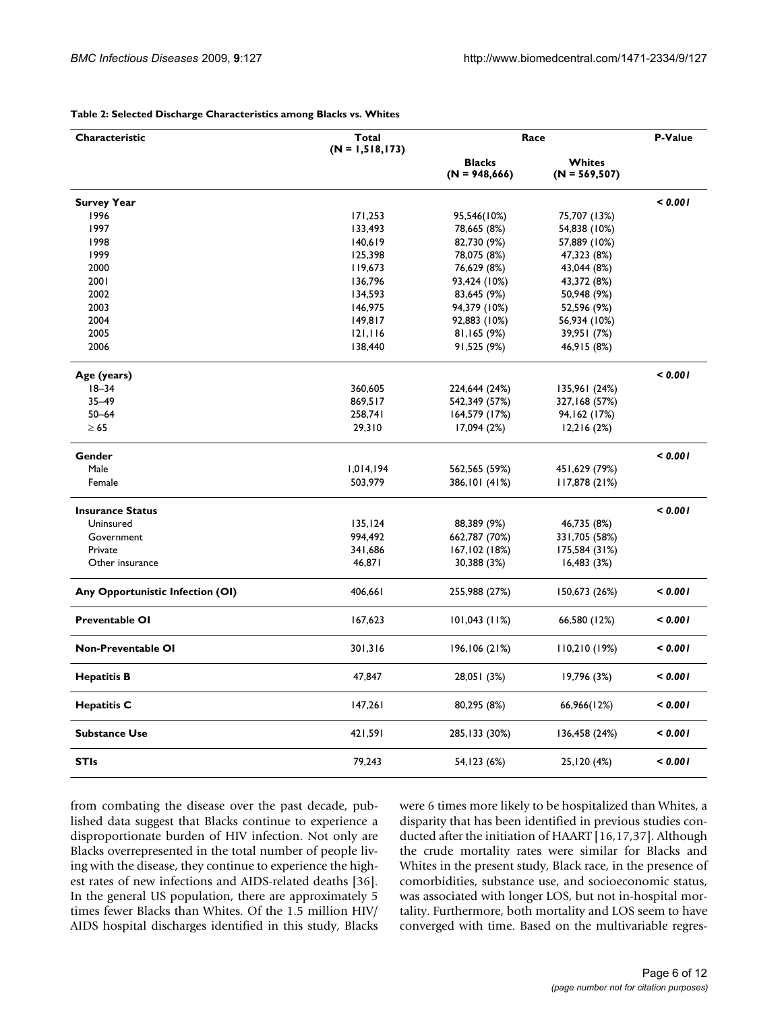| Characteristic                   | Total<br>$(N = 1, 518, 173)$ | Race                             |                            | P-Value |
|----------------------------------|------------------------------|----------------------------------|----------------------------|---------|
|                                  |                              | <b>Blacks</b><br>$(N = 948,666)$ | Whites<br>$(N = 569, 507)$ |         |
| <b>Survey Year</b>               |                              |                                  |                            | < 0.001 |
| 1996                             | 171,253                      | 95,546(10%)                      | 75,707 (13%)               |         |
| 1997                             | 133,493                      | 78,665 (8%)                      | 54,838 (10%)               |         |
| 1998                             | 140,619                      | 82,730 (9%)                      | 57,889 (10%)               |         |
| 1999                             | 125,398                      | 78,075 (8%)                      | 47,323 (8%)                |         |
| 2000                             | 119,673                      | 76,629 (8%)                      | 43,044 (8%)                |         |
| 2001                             | 136,796                      | 93,424 (10%)                     | 43,372 (8%)                |         |
| 2002                             | 134,593                      | 83,645 (9%)                      | 50,948 (9%)                |         |
| 2003                             | 146,975                      | 94,379 (10%)                     | 52,596 (9%)                |         |
| 2004                             | 149,817                      | 92,883 (10%)                     | 56,934 (10%)               |         |
| 2005                             | 121,116                      | 81,165(9%)                       | 39,951 (7%)                |         |
| 2006                             | 138,440                      |                                  |                            |         |
|                                  |                              | 91,525 (9%)                      | 46,915 (8%)                |         |
| Age (years)                      |                              |                                  |                            | < 0.001 |
| $18 - 34$                        | 360,605                      | 224,644 (24%)                    | 135,961 (24%)              |         |
| $35 - 49$                        | 869,517                      | 542,349 (57%)                    | 327,168 (57%)              |         |
| $50 - 64$                        | 258,741                      | 164,579 (17%)                    | 94,162 (17%)               |         |
| $\geq 65$                        | 29,310                       | 17,094 (2%)                      | 12,216(2%)                 |         |
| Gender                           |                              |                                  |                            | < 0.001 |
| Male                             | 1,014,194                    | 562,565 (59%)                    | 451,629 (79%)              |         |
| Female                           | 503,979                      | 386,101 (41%)                    | 117,878 (21%)              |         |
| <b>Insurance Status</b>          |                              |                                  |                            | < 0.001 |
| Uninsured                        |                              |                                  |                            |         |
|                                  | 135, 124                     | 88,389 (9%)                      | 46,735 (8%)                |         |
| Government                       | 994,492                      | 662,787 (70%)                    | 331,705 (58%)              |         |
| Private                          | 341,686                      | 167,102 (18%)                    | 175,584 (31%)              |         |
| Other insurance                  | 46,871                       | 30,388 (3%)                      | 16,483(3%)                 |         |
| Any Opportunistic Infection (OI) | 406,661                      | 255,988 (27%)                    | 150,673 (26%)              | < 0.001 |
| <b>Preventable OI</b>            | 167,623                      | $101,043$ (11%)                  | 66,580 (12%)               | < 0.001 |
| Non-Preventable OI               | 301,316                      | 196,106 (21%)                    | 110,210(19%)               | < 0.001 |
| <b>Hepatitis B</b>               | 47,847                       | 28,051 (3%)                      | 19,796 (3%)                | < 0.001 |
| <b>Hepatitis C</b>               | 147,261                      | 80,295 (8%)                      | 66,966(12%)                | 0.001   |
| <b>Substance Use</b>             | 421,591                      | 285, 133 (30%)                   | 136,458 (24%)              | < 0.001 |
| <b>STIs</b>                      | 79,243                       | 54, 123 (6%)                     | 25,120 (4%)                | < 0.001 |

#### **Table 2: Selected Discharge Characteristics among Blacks vs. Whites**

from combating the disease over the past decade, published data suggest that Blacks continue to experience a disproportionate burden of HIV infection. Not only are Blacks overrepresented in the total number of people living with the disease, they continue to experience the highest rates of new infections and AIDS-related deaths [36]. In the general US population, there are approximately 5 times fewer Blacks than Whites. Of the 1.5 million HIV/ AIDS hospital discharges identified in this study, Blacks were 6 times more likely to be hospitalized than Whites, a disparity that has been identified in previous studies conducted after the initiation of HAART [16,17,37]. Although the crude mortality rates were similar for Blacks and Whites in the present study, Black race, in the presence of comorbidities, substance use, and socioeconomic status, was associated with longer LOS, but not in-hospital mortality. Furthermore, both mortality and LOS seem to have converged with time. Based on the multivariable regres-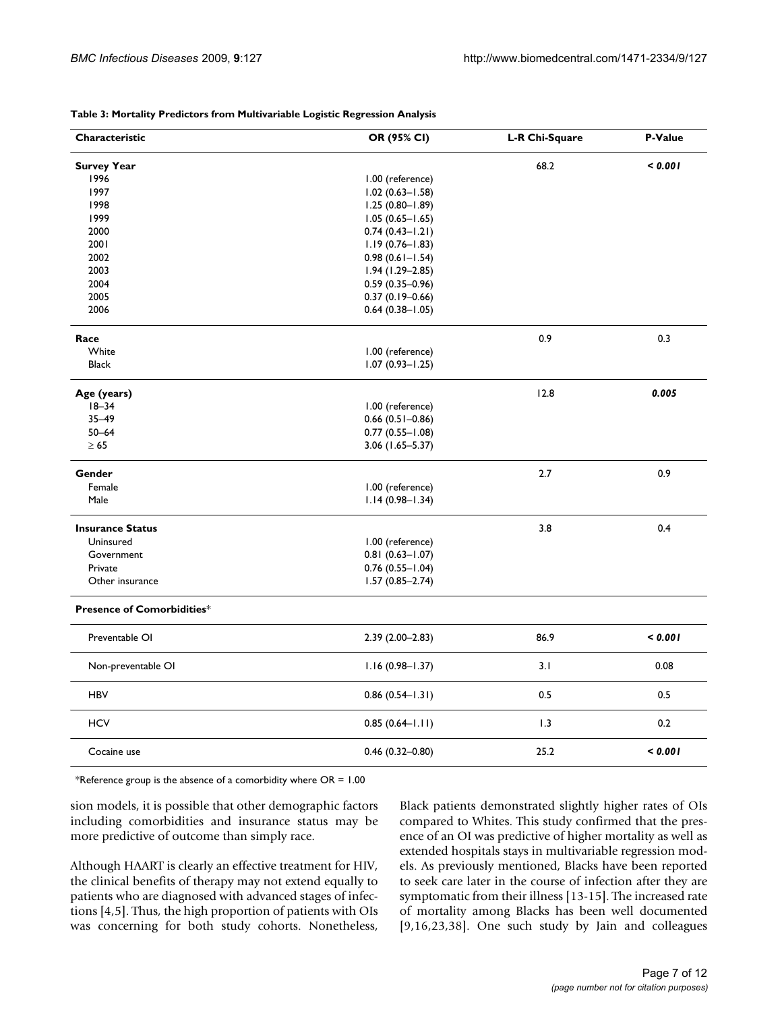| Characteristic                    | OR (95% CI)            | <b>L-R Chi-Square</b> | P-Value |
|-----------------------------------|------------------------|-----------------------|---------|
| <b>Survey Year</b>                |                        | 68.2                  | < 0.001 |
| 1996                              | 1.00 (reference)       |                       |         |
| 1997                              | $1.02(0.63 - 1.58)$    |                       |         |
| 1998                              | $1.25(0.80 - 1.89)$    |                       |         |
| 1999                              | $1.05(0.65 - 1.65)$    |                       |         |
| 2000                              | $0.74(0.43 - 1.21)$    |                       |         |
| 2001                              | $1.19(0.76 - 1.83)$    |                       |         |
| 2002                              | $0.98(0.61 - 1.54)$    |                       |         |
| 2003                              | $1.94(1.29 - 2.85)$    |                       |         |
| 2004                              | $0.59(0.35 - 0.96)$    |                       |         |
| 2005                              | $0.37(0.19 - 0.66)$    |                       |         |
| 2006                              | $0.64$ (0.38-1.05)     |                       |         |
| Race                              |                        | 0.9                   | 0.3     |
| White                             | 1.00 (reference)       |                       |         |
| <b>Black</b>                      | $1.07(0.93 - 1.25)$    |                       |         |
|                                   |                        |                       |         |
| Age (years)                       |                        | 12.8                  | 0.005   |
| $18 - 34$                         | 1.00 (reference)       |                       |         |
| $35 - 49$                         | $0.66$ (0.51-0.86)     |                       |         |
| $50 - 64$                         | $0.77(0.55 - 1.08)$    |                       |         |
| $\geq 65$                         | $3.06$ (1.65-5.37)     |                       |         |
| Gender                            |                        | 2.7                   | 0.9     |
| Female                            | 1.00 (reference)       |                       |         |
| Male                              | $1.14(0.98 - 1.34)$    |                       |         |
| <b>Insurance Status</b>           |                        | 3.8                   | 0.4     |
| Uninsured                         | 1.00 (reference)       |                       |         |
| Government                        | $0.81(0.63 - 1.07)$    |                       |         |
| Private                           | $0.76$ $(0.55 - 1.04)$ |                       |         |
| Other insurance                   | $1.57(0.85 - 2.74)$    |                       |         |
|                                   |                        |                       |         |
| <b>Presence of Comorbidities*</b> |                        |                       |         |
| Preventable OI                    | $2.39(2.00-2.83)$      | 86.9                  | < 0.001 |
| Non-preventable OI                | $1.16(0.98 - 1.37)$    | 3.1                   | 0.08    |
| <b>HBV</b>                        | $0.86(0.54 - 1.31)$    | 0.5                   | 0.5     |
| <b>HCV</b>                        | $0.85(0.64-1.11)$      | 1.3                   | 0.2     |
| Cocaine use                       | $0.46(0.32 - 0.80)$    | 25.2                  | < 0.001 |

**Table 3: Mortality Predictors from Multivariable Logistic Regression Analysis**

\*Reference group is the absence of a comorbidity where  $OR = 1.00$ 

sion models, it is possible that other demographic factors including comorbidities and insurance status may be more predictive of outcome than simply race.

Although HAART is clearly an effective treatment for HIV, the clinical benefits of therapy may not extend equally to patients who are diagnosed with advanced stages of infections [4,5]. Thus, the high proportion of patients with OIs was concerning for both study cohorts. Nonetheless,

Black patients demonstrated slightly higher rates of OIs compared to Whites. This study confirmed that the presence of an OI was predictive of higher mortality as well as extended hospitals stays in multivariable regression models. As previously mentioned, Blacks have been reported to seek care later in the course of infection after they are symptomatic from their illness [13-15]. The increased rate of mortality among Blacks has been well documented [9,16,23,38]. One such study by Jain and colleagues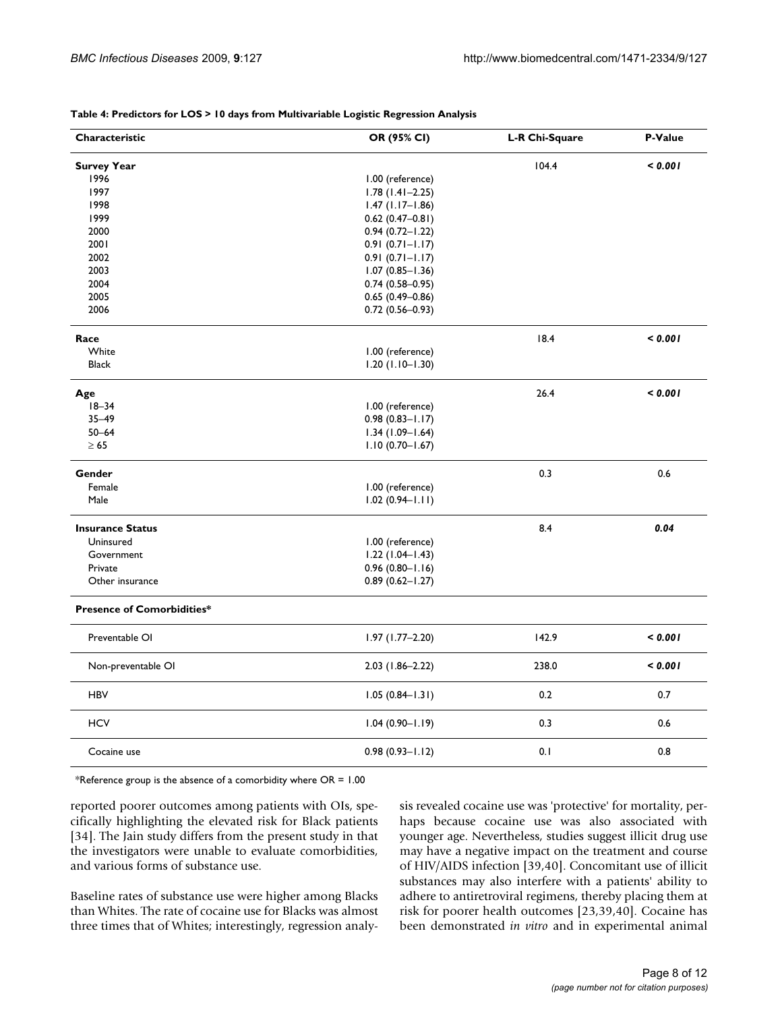| Characteristic                    | OR (95% CI)         | L-R Chi-Square | P-Value |
|-----------------------------------|---------------------|----------------|---------|
| <b>Survey Year</b>                |                     | 104.4          | < 0.001 |
| 1996                              | 1.00 (reference)    |                |         |
| 1997                              | $1.78(1.41 - 2.25)$ |                |         |
| 1998                              | $1.47$ (1.17-1.86)  |                |         |
| 1999                              | $0.62$ (0.47-0.81)  |                |         |
| 2000                              | $0.94(0.72 - 1.22)$ |                |         |
| 2001                              | $0.91(0.71 - 1.17)$ |                |         |
| 2002                              | $0.91(0.71 - 1.17)$ |                |         |
| 2003                              | $1.07(0.85 - 1.36)$ |                |         |
| 2004                              | $0.74(0.58 - 0.95)$ |                |         |
| 2005                              | $0.65(0.49 - 0.86)$ |                |         |
| 2006                              | $0.72(0.56 - 0.93)$ |                |         |
| Race                              |                     | 18.4           | < 0.001 |
| White                             | 1.00 (reference)    |                |         |
| <b>Black</b>                      | $1.20(1.10 - 1.30)$ |                |         |
| Age                               |                     | 26.4           | < 0.001 |
| $18 - 34$                         | 1.00 (reference)    |                |         |
| $35 - 49$                         | $0.98(0.83 - 1.17)$ |                |         |
| $50 - 64$                         | $1.34(1.09 - 1.64)$ |                |         |
| $\geq 65$                         | $1.10(0.70 - 1.67)$ |                |         |
| Gender                            |                     | 0.3            | 0.6     |
| Female                            | 1.00 (reference)    |                |         |
| Male                              | $1.02(0.94 - 1.11)$ |                |         |
| <b>Insurance Status</b>           |                     | 8.4            | 0.04    |
| Uninsured                         | 1.00 (reference)    |                |         |
| Government                        | $1.22(1.04-1.43)$   |                |         |
| Private                           | $0.96(0.80 - 1.16)$ |                |         |
| Other insurance                   | $0.89(0.62 - 1.27)$ |                |         |
| <b>Presence of Comorbidities*</b> |                     |                |         |
| Preventable OI                    | $1.97(1.77-2.20)$   | 142.9          | < 0.001 |
| Non-preventable OI                | $2.03$ (1.86-2.22)  | 238.0          | < 0.001 |
| <b>HBV</b>                        | $1.05(0.84 - 1.31)$ | 0.2            | 0.7     |
| <b>HCV</b>                        | $1.04(0.90 - 1.19)$ | 0.3            | 0.6     |
| Cocaine use                       | $0.98(0.93 - 1.12)$ | 0.1            | 0.8     |

**Table 4: Predictors for LOS > 10 days from Multivariable Logistic Regression Analysis**

\*Reference group is the absence of a comorbidity where  $OR = 1.00$ 

reported poorer outcomes among patients with OIs, specifically highlighting the elevated risk for Black patients [34]. The Jain study differs from the present study in that the investigators were unable to evaluate comorbidities, and various forms of substance use.

Baseline rates of substance use were higher among Blacks than Whites. The rate of cocaine use for Blacks was almost three times that of Whites; interestingly, regression analysis revealed cocaine use was 'protective' for mortality, perhaps because cocaine use was also associated with younger age. Nevertheless, studies suggest illicit drug use may have a negative impact on the treatment and course of HIV/AIDS infection [39,40]. Concomitant use of illicit substances may also interfere with a patients' ability to adhere to antiretroviral regimens, thereby placing them at risk for poorer health outcomes [23,39,40]. Cocaine has been demonstrated *in vitro* and in experimental animal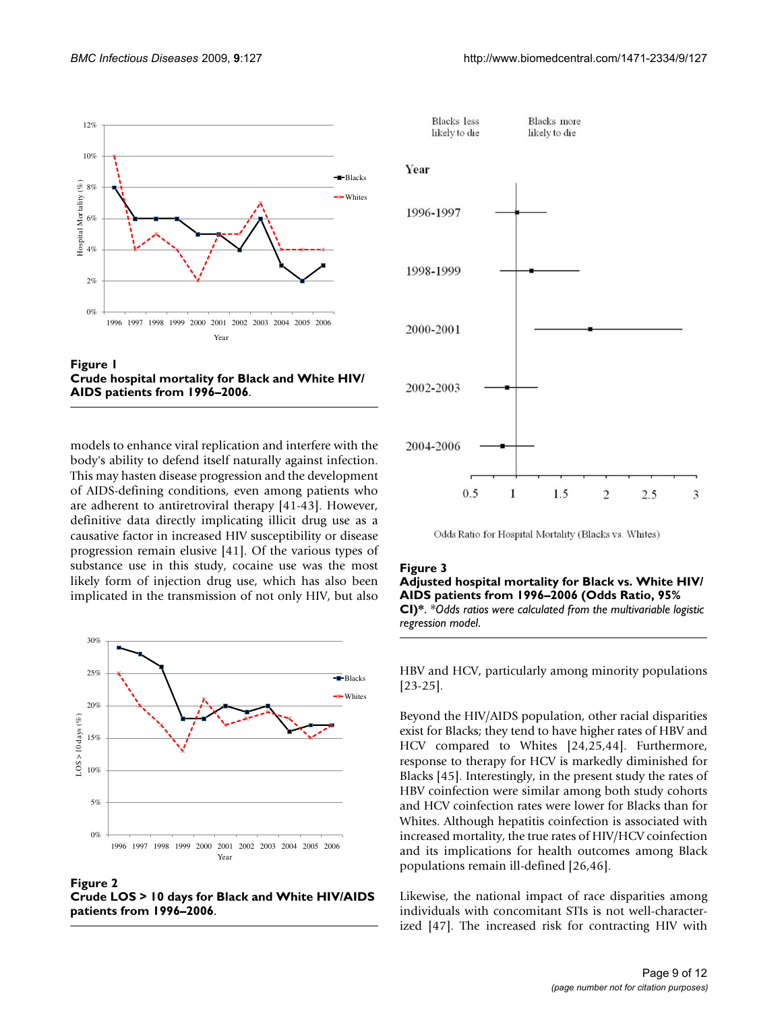



models to enhance viral replication and interfere with the body's ability to defend itself naturally against infection. This may hasten disease progression and the development of AIDS-defining conditions, even among patients who are adherent to antiretroviral therapy [41-43]. However, definitive data directly implicating illicit drug use as a causative factor in increased HIV susceptibility or disease progression remain elusive [41]. Of the various types of substance use in this study, cocaine use was the most likely form of injection drug use, which has also been implicated in the transmission of not only HIV, but also



Figure 2 **Crude LOS > 10 days for Black and White HIV/AIDS patients from 1996–2006**.





Odds Ratio for Hospital Mortality (Blacks vs. Whites)

#### Figure 3

#### **Adjusted hospital mortality for Black vs. White HIV/ AIDS patients from 1996–2006 (Odds Ratio, 95% CI)\***. *\*Odds ratios were calculated from the multivariable logistic regression model*.

HBV and HCV, particularly among minority populations [23-25].

Beyond the HIV/AIDS population, other racial disparities exist for Blacks; they tend to have higher rates of HBV and HCV compared to Whites [24,25,44]. Furthermore, response to therapy for HCV is markedly diminished for Blacks [45]. Interestingly, in the present study the rates of HBV coinfection were similar among both study cohorts and HCV coinfection rates were lower for Blacks than for Whites. Although hepatitis coinfection is associated with increased mortality, the true rates of HIV/HCV coinfection and its implications for health outcomes among Black populations remain ill-defined [26,46].

Likewise, the national impact of race disparities among individuals with concomitant STIs is not well-characterized [47]. The increased risk for contracting HIV with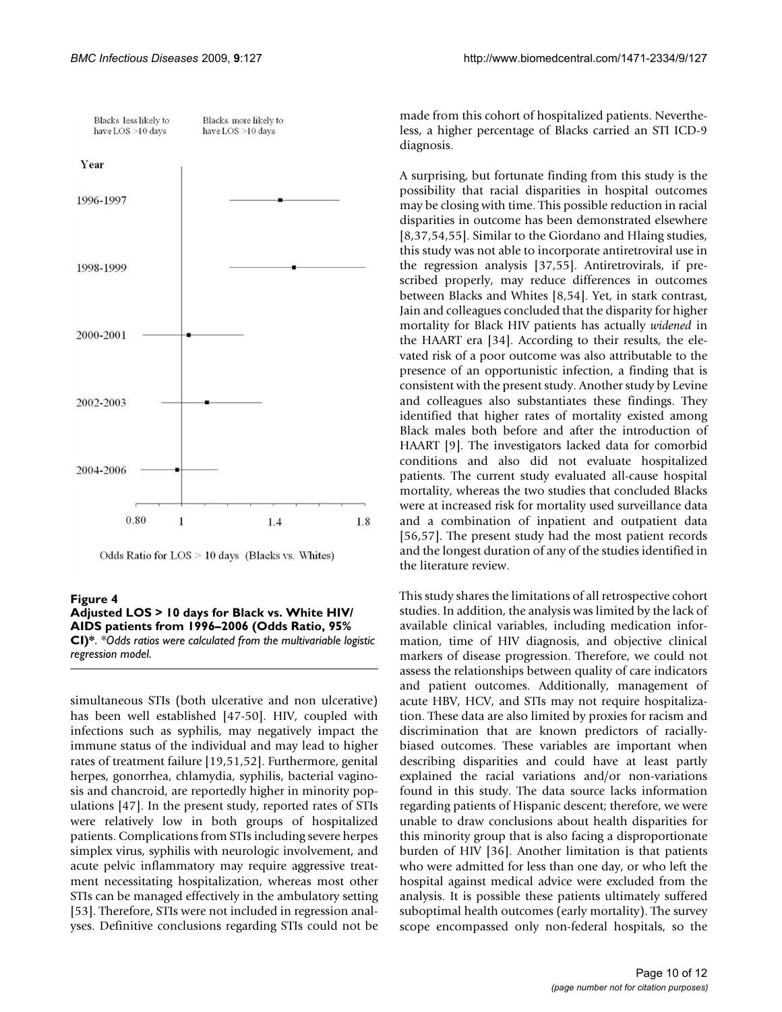

Odds Ratio for LOS > 10 days (Blacks vs. Whites)

#### Figure 4 **Adjusted LOS > 10 days for Black vs. White HIV/ AIDS patients from 1996–2006 (Odds Ratio, 95% CI)\***. *\*Odds ratios were calculated from the multivariable logistic regression model*.

simultaneous STIs (both ulcerative and non ulcerative) has been well established [47-50]. HIV, coupled with infections such as syphilis, may negatively impact the immune status of the individual and may lead to higher rates of treatment failure [19,51,52]. Furthermore, genital herpes, gonorrhea, chlamydia, syphilis, bacterial vaginosis and chancroid, are reportedly higher in minority populations [47]. In the present study, reported rates of STIs were relatively low in both groups of hospitalized patients. Complications from STIs including severe herpes simplex virus, syphilis with neurologic involvement, and acute pelvic inflammatory may require aggressive treatment necessitating hospitalization, whereas most other STIs can be managed effectively in the ambulatory setting [53]. Therefore, STIs were not included in regression analyses. Definitive conclusions regarding STIs could not be

made from this cohort of hospitalized patients. Nevertheless, a higher percentage of Blacks carried an STI ICD-9 diagnosis.

A surprising, but fortunate finding from this study is the possibility that racial disparities in hospital outcomes may be closing with time. This possible reduction in racial disparities in outcome has been demonstrated elsewhere [8,37,54,55]. Similar to the Giordano and Hlaing studies, this study was not able to incorporate antiretroviral use in the regression analysis [37,55]. Antiretrovirals, if prescribed properly, may reduce differences in outcomes between Blacks and Whites [8,54]. Yet, in stark contrast, Jain and colleagues concluded that the disparity for higher mortality for Black HIV patients has actually *widened* in the HAART era [34]. According to their results, the elevated risk of a poor outcome was also attributable to the presence of an opportunistic infection, a finding that is consistent with the present study. Another study by Levine and colleagues also substantiates these findings. They identified that higher rates of mortality existed among Black males both before and after the introduction of HAART [9]. The investigators lacked data for comorbid conditions and also did not evaluate hospitalized patients. The current study evaluated all-cause hospital mortality, whereas the two studies that concluded Blacks were at increased risk for mortality used surveillance data and a combination of inpatient and outpatient data [56,57]. The present study had the most patient records and the longest duration of any of the studies identified in the literature review.

This study shares the limitations of all retrospective cohort studies. In addition, the analysis was limited by the lack of available clinical variables, including medication information, time of HIV diagnosis, and objective clinical markers of disease progression. Therefore, we could not assess the relationships between quality of care indicators and patient outcomes. Additionally, management of acute HBV, HCV, and STIs may not require hospitalization. These data are also limited by proxies for racism and discrimination that are known predictors of raciallybiased outcomes. These variables are important when describing disparities and could have at least partly explained the racial variations and/or non-variations found in this study. The data source lacks information regarding patients of Hispanic descent; therefore, we were unable to draw conclusions about health disparities for this minority group that is also facing a disproportionate burden of HIV [36]. Another limitation is that patients who were admitted for less than one day, or who left the hospital against medical advice were excluded from the analysis. It is possible these patients ultimately suffered suboptimal health outcomes (early mortality). The survey scope encompassed only non-federal hospitals, so the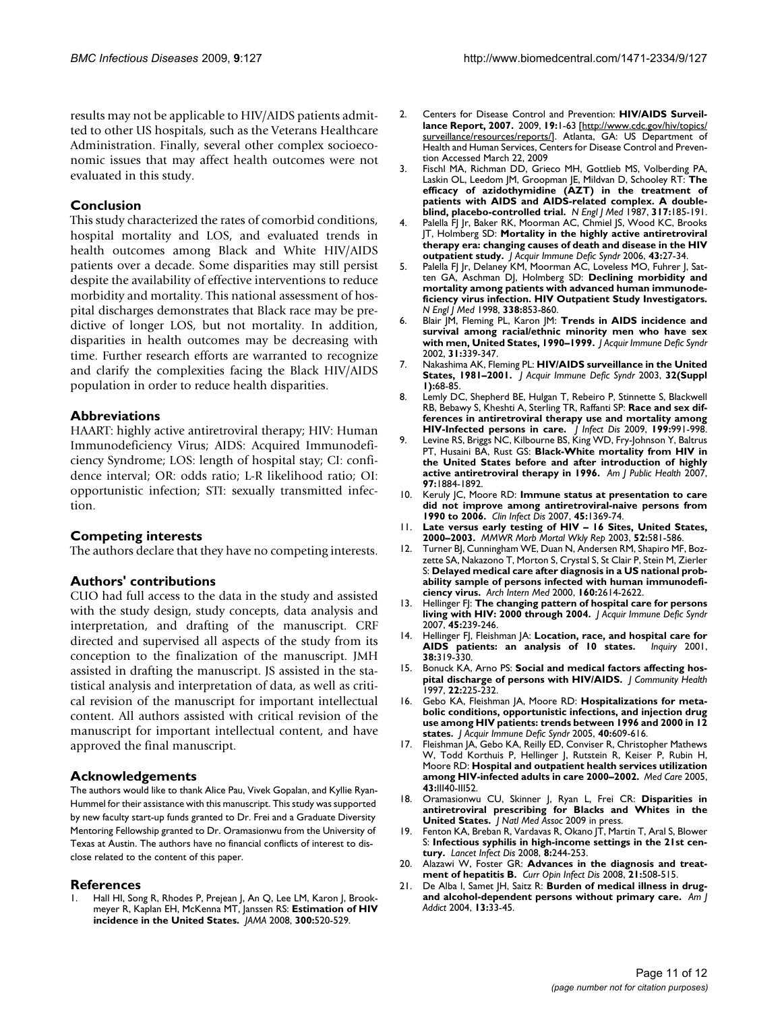results may not be applicable to HIV/AIDS patients admitted to other US hospitals, such as the Veterans Healthcare Administration. Finally, several other complex socioeconomic issues that may affect health outcomes were not evaluated in this study.

#### **Conclusion**

This study characterized the rates of comorbid conditions, hospital mortality and LOS, and evaluated trends in health outcomes among Black and White HIV/AIDS patients over a decade. Some disparities may still persist despite the availability of effective interventions to reduce morbidity and mortality. This national assessment of hospital discharges demonstrates that Black race may be predictive of longer LOS, but not mortality. In addition, disparities in health outcomes may be decreasing with time. Further research efforts are warranted to recognize and clarify the complexities facing the Black HIV/AIDS population in order to reduce health disparities.

#### **Abbreviations**

HAART: highly active antiretroviral therapy; HIV: Human Immunodeficiency Virus; AIDS: Acquired Immunodeficiency Syndrome; LOS: length of hospital stay; CI: confidence interval; OR: odds ratio; L-R likelihood ratio; OI: opportunistic infection; STI: sexually transmitted infection.

#### **Competing interests**

The authors declare that they have no competing interests.

#### **Authors' contributions**

CUO had full access to the data in the study and assisted with the study design, study concepts, data analysis and interpretation, and drafting of the manuscript. CRF directed and supervised all aspects of the study from its conception to the finalization of the manuscript. JMH assisted in drafting the manuscript. JS assisted in the statistical analysis and interpretation of data, as well as critical revision of the manuscript for important intellectual content. All authors assisted with critical revision of the manuscript for important intellectual content, and have approved the final manuscript.

#### **Acknowledgements**

The authors would like to thank Alice Pau, Vivek Gopalan, and Kyllie Ryan-Hummel for their assistance with this manuscript. This study was supported by new faculty start-up funds granted to Dr. Frei and a Graduate Diversity Mentoring Fellowship granted to Dr. Oramasionwu from the University of Texas at Austin. The authors have no financial conflicts of interest to disclose related to the content of this paper.

#### **References**

Hall HI, Song R, Rhodes P, Prejean J, An Q, Lee LM, Karon J, Brookmeyer R, Kaplan EH, McKenna MT, Janssen RS: **[Estimation of HIV](http://www.ncbi.nlm.nih.gov/entrez/query.fcgi?cmd=Retrieve&db=PubMed&dopt=Abstract&list_uids=18677024) [incidence in the United States.](http://www.ncbi.nlm.nih.gov/entrez/query.fcgi?cmd=Retrieve&db=PubMed&dopt=Abstract&list_uids=18677024)** *JAMA* 2008, **300:**520-529.

- 2. Centers for Disease Control and Prevention: **HIV/AIDS Surveillance Report, 2007.** 2009, **19:**1-63 [[http://www.cdc.gov/hiv/topics/](http://www.cdc.gov/hiv/topics/surveillance/resources/reports/) [surveillance/resources/reports/\]](http://www.cdc.gov/hiv/topics/surveillance/resources/reports/). Atlanta, GA: US Department of Health and Human Services, Centers for Disease Control and Prevention Accessed March 22, 2009
- 3. Fischl MA, Richman DD, Grieco MH, Gottlieb MS, Volberding PA, Laskin OL, Leedom JM, Groopman JE, Mildvan D, Schooley RT: **[The](http://www.ncbi.nlm.nih.gov/entrez/query.fcgi?cmd=Retrieve&db=PubMed&dopt=Abstract&list_uids=3299089) [efficacy of azidothymidine \(AZT\) in the treatment of](http://www.ncbi.nlm.nih.gov/entrez/query.fcgi?cmd=Retrieve&db=PubMed&dopt=Abstract&list_uids=3299089)** patients with AIDS and AIDS-related complex. A double**[blind, placebo-controlled trial.](http://www.ncbi.nlm.nih.gov/entrez/query.fcgi?cmd=Retrieve&db=PubMed&dopt=Abstract&list_uids=3299089)** *N Engl J Med* 1987, **317:**185-191.
- 4. Palella FJ Jr, Baker RK, Moorman AC, Chmiel JS, Wood KC, Brooks JT, Holmberg SD: **[Mortality in the highly active antiretroviral](http://www.ncbi.nlm.nih.gov/entrez/query.fcgi?cmd=Retrieve&db=PubMed&dopt=Abstract&list_uids=16878047) [therapy era: changing causes of death and disease in the HIV](http://www.ncbi.nlm.nih.gov/entrez/query.fcgi?cmd=Retrieve&db=PubMed&dopt=Abstract&list_uids=16878047) [outpatient study.](http://www.ncbi.nlm.nih.gov/entrez/query.fcgi?cmd=Retrieve&db=PubMed&dopt=Abstract&list_uids=16878047)** *J Acquir Immune Defic Syndr* 2006, **43:**27-34.
- 5. Palella FJ Jr, Delaney KM, Moorman AC, Loveless MO, Fuhrer J, Satten GA, Aschman DJ, Holmberg SD: **[Declining morbidity and](http://www.ncbi.nlm.nih.gov/entrez/query.fcgi?cmd=Retrieve&db=PubMed&dopt=Abstract&list_uids=9516219) [mortality among patients with advanced human immunode](http://www.ncbi.nlm.nih.gov/entrez/query.fcgi?cmd=Retrieve&db=PubMed&dopt=Abstract&list_uids=9516219)ficiency virus infection. HIV Outpatient Study Investigators.** *N Engl J Med* 1998, **338:**853-860.
- 6. Blair JM, Fleming PL, Karon JM: **[Trends in AIDS incidence and](http://www.ncbi.nlm.nih.gov/entrez/query.fcgi?cmd=Retrieve&db=PubMed&dopt=Abstract&list_uids=12439211) [survival among racial/ethnic minority men who have sex](http://www.ncbi.nlm.nih.gov/entrez/query.fcgi?cmd=Retrieve&db=PubMed&dopt=Abstract&list_uids=12439211) [with men, United States, 1990–1999.](http://www.ncbi.nlm.nih.gov/entrez/query.fcgi?cmd=Retrieve&db=PubMed&dopt=Abstract&list_uids=12439211)** *J Acquir Immune Defic Syndr* 2002, **31:**339-347.
- 7. Nakashima AK, Fleming PL: **HIV/AIDS surveillance in the United States, 1981–2001.** *J Acquir Immune Defic Syndr* 2003, **32(Suppl 1):**68-85.
- 8. Lemly DC, Shepherd BE, Hulgan T, Rebeiro P, Stinnette S, Blackwell RB, Bebawy S, Kheshti A, Sterling TR, Raffanti SP: **[Race and sex dif](http://www.ncbi.nlm.nih.gov/entrez/query.fcgi?cmd=Retrieve&db=PubMed&dopt=Abstract&list_uids=19220139)[ferences in antiretroviral therapy use and mortality among](http://www.ncbi.nlm.nih.gov/entrez/query.fcgi?cmd=Retrieve&db=PubMed&dopt=Abstract&list_uids=19220139) [HIV-Infected persons in care.](http://www.ncbi.nlm.nih.gov/entrez/query.fcgi?cmd=Retrieve&db=PubMed&dopt=Abstract&list_uids=19220139)** *J Infect Dis* 2009, **199:**991-998.
- 9. Levine RS, Briggs NC, Kilbourne BS, King WD, Fry-Johnson Y, Baltrus PT, Husaini BA, Rust GS: **[Black-White mortality from HIV in](http://www.ncbi.nlm.nih.gov/entrez/query.fcgi?cmd=Retrieve&db=PubMed&dopt=Abstract&list_uids=17761583) [the United States before and after introduction of highly](http://www.ncbi.nlm.nih.gov/entrez/query.fcgi?cmd=Retrieve&db=PubMed&dopt=Abstract&list_uids=17761583) [active antiretroviral therapy in 1996.](http://www.ncbi.nlm.nih.gov/entrez/query.fcgi?cmd=Retrieve&db=PubMed&dopt=Abstract&list_uids=17761583)** *Am J Public Health* 2007, **97:**1884-1892.
- 10. Keruly JC, Moore RD: **[Immune status at presentation to care](http://www.ncbi.nlm.nih.gov/entrez/query.fcgi?cmd=Retrieve&db=PubMed&dopt=Abstract&list_uids=17968837) [did not improve among antiretroviral-naive persons from](http://www.ncbi.nlm.nih.gov/entrez/query.fcgi?cmd=Retrieve&db=PubMed&dopt=Abstract&list_uids=17968837) [1990 to 2006.](http://www.ncbi.nlm.nih.gov/entrez/query.fcgi?cmd=Retrieve&db=PubMed&dopt=Abstract&list_uids=17968837)** *Clin Infect Dis* 2007, **45:**1369-74.
- <span id="page-10-0"></span>11. **[Late versus early testing of HIV – 16 Sites, United States,](http://www.ncbi.nlm.nih.gov/entrez/query.fcgi?cmd=Retrieve&db=PubMed&dopt=Abstract&list_uids=12836626) [2000–2003.](http://www.ncbi.nlm.nih.gov/entrez/query.fcgi?cmd=Retrieve&db=PubMed&dopt=Abstract&list_uids=12836626)** *MMWR Morb Mortal Wkly Rep* 2003, **52:**581-586.
- 12. Turner BJ, Cunningham WE, Duan N, Andersen RM, Shapiro MF, Bozzette SA, Nakazono T, Morton S, Crystal S, St Clair P, Stein M, Zierler S: **[Delayed medical care after diagnosis in a US national prob](http://www.ncbi.nlm.nih.gov/entrez/query.fcgi?cmd=Retrieve&db=PubMed&dopt=Abstract&list_uids=10999975)[ability sample of persons infected with human immunodefi](http://www.ncbi.nlm.nih.gov/entrez/query.fcgi?cmd=Retrieve&db=PubMed&dopt=Abstract&list_uids=10999975)[ciency virus.](http://www.ncbi.nlm.nih.gov/entrez/query.fcgi?cmd=Retrieve&db=PubMed&dopt=Abstract&list_uids=10999975)** *Arch Intern Med* 2000, **160:**2614-2622.
- 13. Hellinger FJ: **[The changing pattern of hospital care for persons](http://www.ncbi.nlm.nih.gov/entrez/query.fcgi?cmd=Retrieve&db=PubMed&dopt=Abstract&list_uids=17414928) [living with HIV: 2000 through 2004.](http://www.ncbi.nlm.nih.gov/entrez/query.fcgi?cmd=Retrieve&db=PubMed&dopt=Abstract&list_uids=17414928)** *J Acquir Immune Defic Syndr* 2007, **45:**239-246.
- 14. Hellinger FJ, Fleishman JA: **[Location, race, and hospital care for](http://www.ncbi.nlm.nih.gov/entrez/query.fcgi?cmd=Retrieve&db=PubMed&dopt=Abstract&list_uids=11761360)** [AIDS patients: an analysis of 10 states.](http://www.ncbi.nlm.nih.gov/entrez/query.fcgi?cmd=Retrieve&db=PubMed&dopt=Abstract&list_uids=11761360) **38:**319-330.
- 15. Bonuck KA, Arno PS: **[Social and medical factors affecting hos](http://www.ncbi.nlm.nih.gov/entrez/query.fcgi?cmd=Retrieve&db=PubMed&dopt=Abstract&list_uids=9247846)[pital discharge of persons with HIV/AIDS.](http://www.ncbi.nlm.nih.gov/entrez/query.fcgi?cmd=Retrieve&db=PubMed&dopt=Abstract&list_uids=9247846)** *J Community Health* 1997, **22:**225-232.
- 16. Gebo KA, Fleishman JA, Moore RD: **[Hospitalizations for meta](http://www.ncbi.nlm.nih.gov/entrez/query.fcgi?cmd=Retrieve&db=PubMed&dopt=Abstract&list_uids=16284539)[bolic conditions, opportunistic infections, and injection drug](http://www.ncbi.nlm.nih.gov/entrez/query.fcgi?cmd=Retrieve&db=PubMed&dopt=Abstract&list_uids=16284539) use among HIV patients: trends between 1996 and 2000 in 12 [states.](http://www.ncbi.nlm.nih.gov/entrez/query.fcgi?cmd=Retrieve&db=PubMed&dopt=Abstract&list_uids=16284539)** *J Acquir Immune Defic Syndr* 2005, **40:**609-616.
- 17. Fleishman JA, Gebo KA, Reilly ED, Conviser R, Christopher Mathews W, Todd Korthuis P, Hellinger J, Rutstein R, Keiser P, Rubin H, Moore RD: **[Hospital and outpatient health services utilization](http://www.ncbi.nlm.nih.gov/entrez/query.fcgi?cmd=Retrieve&db=PubMed&dopt=Abstract&list_uids=16116308) [among HIV-infected adults in care 2000–2002.](http://www.ncbi.nlm.nih.gov/entrez/query.fcgi?cmd=Retrieve&db=PubMed&dopt=Abstract&list_uids=16116308)** *Med Care* 2005, **43:**III40-III52.
- 18. Oramasionwu CU, Skinner J, Ryan L, Frei CR: **Disparities in antiretroviral prescribing for Blacks and Whites in the United States.** *J Natl Med Assoc* 2009 in press.
- 19. Fenton KA, Breban R, Vardavas R, Okano JT, Martin T, Aral S, Blower S: **[Infectious syphilis in high-income settings in the 21st cen](http://www.ncbi.nlm.nih.gov/entrez/query.fcgi?cmd=Retrieve&db=PubMed&dopt=Abstract&list_uids=18353265)[tury.](http://www.ncbi.nlm.nih.gov/entrez/query.fcgi?cmd=Retrieve&db=PubMed&dopt=Abstract&list_uids=18353265)** *Lancet Infect Dis* 2008, **8:**244-253.
- 20. Alazawi W, Foster GR: **[Advances in the diagnosis and treat](http://www.ncbi.nlm.nih.gov/entrez/query.fcgi?cmd=Retrieve&db=PubMed&dopt=Abstract&list_uids=18725801)[ment of hepatitis B.](http://www.ncbi.nlm.nih.gov/entrez/query.fcgi?cmd=Retrieve&db=PubMed&dopt=Abstract&list_uids=18725801)** *Curr Opin Infect Dis* 2008, **21:**508-515.
- 21. De Alba I, Samet JH, Saitz R: **[Burden of medical illness in drug](http://www.ncbi.nlm.nih.gov/entrez/query.fcgi?cmd=Retrieve&db=PubMed&dopt=Abstract&list_uids=14766436)[and alcohol-dependent persons without primary care.](http://www.ncbi.nlm.nih.gov/entrez/query.fcgi?cmd=Retrieve&db=PubMed&dopt=Abstract&list_uids=14766436)** *Am J Addict* 2004, **13:**33-45.